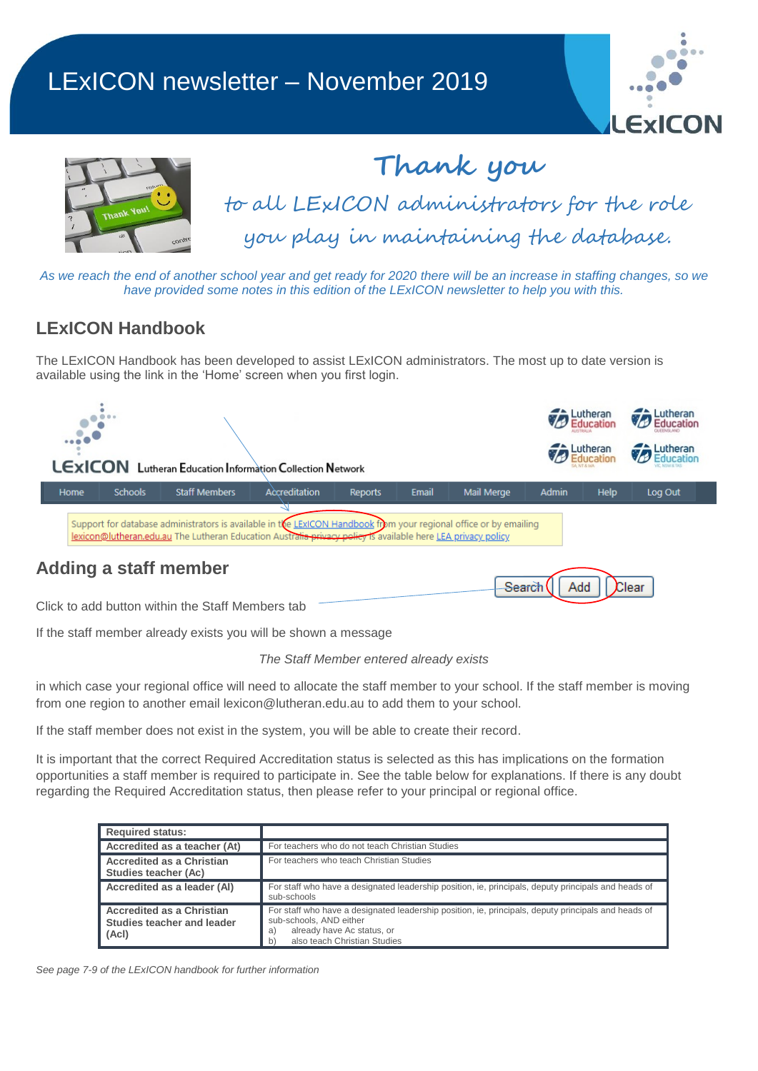## LExICON newsletter – November 2019





# **Thank you** to all LExICON administrators for the role you play in maintaining the database.

*As we reach the end of another school year and get ready for 2020 there will be an increase in staffing changes, so we have provided some notes in this edition of the LExICON newsletter to help you with this.*

### **LExICON Handbook**

The LExICON Handbook has been developed to assist LExICON administrators. The most up to date version is available using the link in the 'Home' screen when you first login.

|                                                                                                                                                                                                                                   |             |                |                              |               |                |       |            | <b>Extract Lutheran</b> |             | Lutheran<br>Education |
|-----------------------------------------------------------------------------------------------------------------------------------------------------------------------------------------------------------------------------------|-------------|----------------|------------------------------|---------------|----------------|-------|------------|-------------------------|-------------|-----------------------|
| $\mathbf{1} \cdot \mathbf{1} \cdot \mathbf{1} \cdot \mathbf{1}$<br><b>LEXICON</b> Lutheran Education Information Collection Network                                                                                               |             |                |                              |               |                |       |            |                         | Lutheran    | Lutheran<br>Education |
|                                                                                                                                                                                                                                   | <b>Home</b> | <b>Schools</b> | <b>Staff Members</b>         | Accreditation | <b>Reports</b> | Email | Mail Merge | <b>Admin</b>            | <b>Help</b> | Log Out               |
| Support for database administrators is available in the LExICON Handbook from your regional office or by emailing<br>lexicon@lutheran.edu.au The Lutheran Education Australia privacy policy is available here LEA privacy policy |             |                |                              |               |                |       |            |                         |             |                       |
|                                                                                                                                                                                                                                   |             |                | <b>Adding a staff member</b> |               |                |       | Search     | Add                     |             | Clear                 |

Click to add button within the Staff Members tab

If the staff member already exists you will be shown a message

#### *The Staff Member entered already exists*

in which case your regional office will need to allocate the staff member to your school. If the staff member is moving from one region to another email [lexicon@lutheran.edu.au](mailto:lexicon@lutheran.edu.au) to add them to your school.

If the staff member does not exist in the system, you will be able to create their record.

It is important that the correct Required Accreditation status is selected as this has implications on the formation opportunities a staff member is required to participate in. See the table below for explanations. If there is any doubt regarding the Required Accreditation status, then please refer to your principal or regional office.

| <b>Required status:</b>                                                |                                                                                                                                                                                                         |
|------------------------------------------------------------------------|---------------------------------------------------------------------------------------------------------------------------------------------------------------------------------------------------------|
| Accredited as a teacher (At)                                           | For teachers who do not teach Christian Studies                                                                                                                                                         |
| <b>Accredited as a Christian</b><br>Studies teacher (Ac)               | For teachers who teach Christian Studies                                                                                                                                                                |
| Accredited as a leader (AI)                                            | For staff who have a designated leadership position, ie, principals, deputy principals and heads of<br>sub-schools                                                                                      |
| <b>Accredited as a Christian</b><br>Studies teacher and leader<br>(Ac) | For staff who have a designated leadership position, ie, principals, deputy principals and heads of<br>sub-schools. AND either<br>already have Ac status, or<br>a<br>also teach Christian Studies<br>b) |

*See page 7-9 of the LExICON handbook for further information*